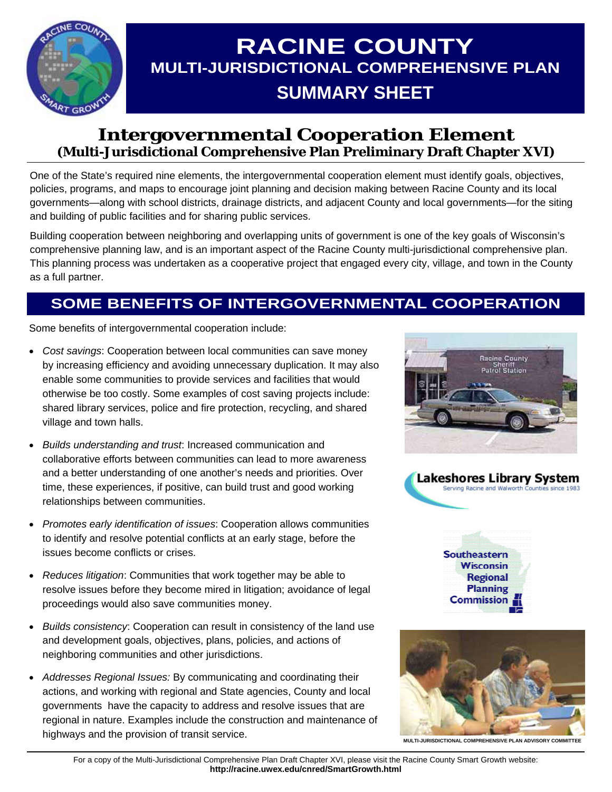

# **RACINE COUNTY MULTI-JURISDICTIONAL COMPREHENSIVE PLAN SUMMARY SHEET**

## **Intergovernmental Cooperation Element (Multi-Jurisdictional Comprehensive Plan Preliminary Draft Chapter XVI)**

One of the State's required nine elements, the intergovernmental cooperation element must identify goals, objectives, policies, programs, and maps to encourage joint planning and decision making between Racine County and its local governments—along with school districts, drainage districts, and adjacent County and local governments—for the siting and building of public facilities and for sharing public services.

Building cooperation between neighboring and overlapping units of government is one of the key goals of Wisconsin's comprehensive planning law, and is an important aspect of the Racine County multi-jurisdictional comprehensive plan. This planning process was undertaken as a cooperative project that engaged every city, village, and town in the County as a full partner.

# **SOME BENEFITS OF INTERGOVERNMENTAL COOPERATION**

Some benefits of intergovernmental cooperation include:

- *Cost savings*: Cooperation between local communities can save money by increasing efficiency and avoiding unnecessary duplication. It may also enable some communities to provide services and facilities that would otherwise be too costly. Some examples of cost saving projects include: shared library services, police and fire protection, recycling, and shared village and town halls.
- *Builds understanding and trust*: Increased communication and collaborative efforts between communities can lead to more awareness and a better understanding of one another's needs and priorities. Over time, these experiences, if positive, can build trust and good working relationships between communities.
- *Promotes early identification of issues*: Cooperation allows communities to identify and resolve potential conflicts at an early stage, before the issues become conflicts or crises.
- *Reduces litigation*: Communities that work together may be able to resolve issues before they become mired in litigation; avoidance of legal proceedings would also save communities money.
- *Builds consistency*: Cooperation can result in consistency of the land use and development goals, objectives, plans, policies, and actions of neighboring communities and other jurisdictions.
- *Addresses Regional Issues:* By communicating and coordinating their actions, and working with regional and State agencies, County and local governments have the capacity to address and resolve issues that are regional in nature. Examples include the construction and maintenance of highways and the provision of transit service.









**MULTI-JURISDICTIONAL COMPREHENSIVE PLAN ADVISORY COMMITTEE**